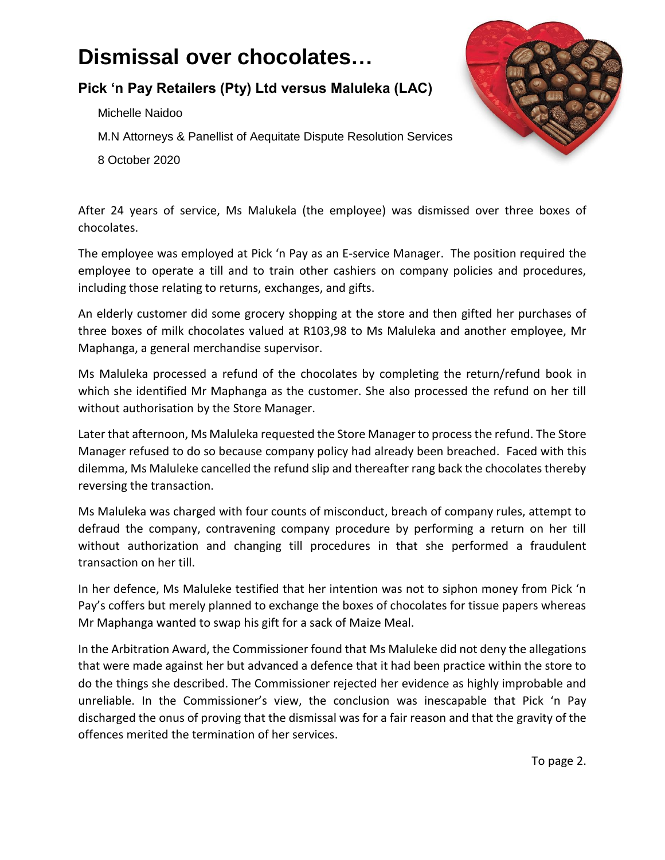## **Dismissal over chocolates…**

## **Pick 'n Pay Retailers (Pty) Ltd versus Maluleka (LAC)**

Michelle Naidoo

M.N Attorneys & Panellist of Aequitate Dispute Resolution Services

8 October 2020



After 24 years of service, Ms Malukela (the employee) was dismissed over three boxes of chocolates.

The employee was employed at Pick 'n Pay as an E-service Manager. The position required the employee to operate a till and to train other cashiers on company policies and procedures, including those relating to returns, exchanges, and gifts.

An elderly customer did some grocery shopping at the store and then gifted her purchases of three boxes of milk chocolates valued at R103,98 to Ms Maluleka and another employee, Mr Maphanga, a general merchandise supervisor.

Ms Maluleka processed a refund of the chocolates by completing the return/refund book in which she identified Mr Maphanga as the customer. She also processed the refund on her till without authorisation by the Store Manager.

Later that afternoon, Ms Maluleka requested the Store Manager to process the refund. The Store Manager refused to do so because company policy had already been breached. Faced with this dilemma, Ms Maluleke cancelled the refund slip and thereafter rang back the chocolates thereby reversing the transaction.

Ms Maluleka was charged with four counts of misconduct, breach of company rules, attempt to defraud the company, contravening company procedure by performing a return on her till without authorization and changing till procedures in that she performed a fraudulent transaction on her till.

In her defence, Ms Maluleke testified that her intention was not to siphon money from Pick 'n Pay's coffers but merely planned to exchange the boxes of chocolates for tissue papers whereas Mr Maphanga wanted to swap his gift for a sack of Maize Meal.

In the Arbitration Award, the Commissioner found that Ms Maluleke did not deny the allegations that were made against her but advanced a defence that it had been practice within the store to do the things she described. The Commissioner rejected her evidence as highly improbable and unreliable. In the Commissioner's view, the conclusion was inescapable that Pick 'n Pay discharged the onus of proving that the dismissal was for a fair reason and that the gravity of the offences merited the termination of her services.